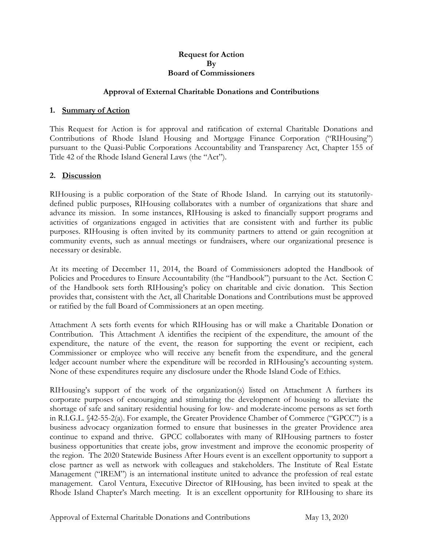#### **Request for Action By Board of Commissioners**

## **Approval of External Charitable Donations and Contributions**

### **1. Summary of Action**

This Request for Action is for approval and ratification of external Charitable Donations and Contributions of Rhode Island Housing and Mortgage Finance Corporation ("RIHousing") pursuant to the Quasi-Public Corporations Accountability and Transparency Act, Chapter 155 of Title 42 of the Rhode Island General Laws (the "Act").

### **2. Discussion**

RIHousing is a public corporation of the State of Rhode Island. In carrying out its statutorilydefined public purposes, RIHousing collaborates with a number of organizations that share and advance its mission. In some instances, RIHousing is asked to financially support programs and activities of organizations engaged in activities that are consistent with and further its public purposes. RIHousing is often invited by its community partners to attend or gain recognition at community events, such as annual meetings or fundraisers, where our organizational presence is necessary or desirable.

At its meeting of December 11, 2014, the Board of Commissioners adopted the Handbook of Policies and Procedures to Ensure Accountability (the "Handbook") pursuant to the Act. Section C of the Handbook sets forth RIHousing's policy on charitable and civic donation. This Section provides that, consistent with the Act, all Charitable Donations and Contributions must be approved or ratified by the full Board of Commissioners at an open meeting.

Attachment A sets forth events for which RIHousing has or will make a Charitable Donation or Contribution. This Attachment A identifies the recipient of the expenditure, the amount of the expenditure, the nature of the event, the reason for supporting the event or recipient, each Commissioner or employee who will receive any benefit from the expenditure, and the general ledger account number where the expenditure will be recorded in RIHousing's accounting system. None of these expenditures require any disclosure under the Rhode Island Code of Ethics.

RIHousing's support of the work of the organization(s) listed on Attachment A furthers its corporate purposes of encouraging and stimulating the development of housing to alleviate the shortage of safe and sanitary residential housing for low- and moderate-income persons as set forth in R.I.G.L. §42-55-2(a). For example, the Greater Providence Chamber of Commerce ("GPCC") is a business advocacy organization formed to ensure that businesses in the greater Providence area continue to expand and thrive. GPCC collaborates with many of RIHousing partners to foster business opportunities that create jobs, grow investment and improve the economic prosperity of the region. The 2020 Statewide Business After Hours event is an excellent opportunity to support a close partner as well as network with colleagues and stakeholders. The Institute of Real Estate Management ("IREM") is an international institute united to advance the profession of real estate management. Carol Ventura, Executive Director of RIHousing, has been invited to speak at the Rhode Island Chapter's March meeting. It is an excellent opportunity for RIHousing to share its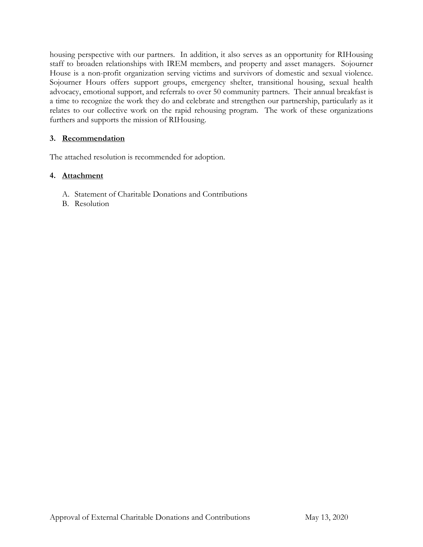housing perspective with our partners. In addition, it also serves as an opportunity for RIHousing staff to broaden relationships with IREM members, and property and asset managers. Sojourner House is a non-profit organization serving victims and survivors of domestic and sexual violence. Sojourner Hours offers support groups, emergency shelter, transitional housing, sexual health advocacy, emotional support, and referrals to over 50 community partners. Their annual breakfast is a time to recognize the work they do and celebrate and strengthen our partnership, particularly as it relates to our collective work on the rapid rehousing program. The work of these organizations furthers and supports the mission of RIHousing.

# **3. Recommendation**

The attached resolution is recommended for adoption.

# **4. Attachment**

- A. Statement of Charitable Donations and Contributions
- B. Resolution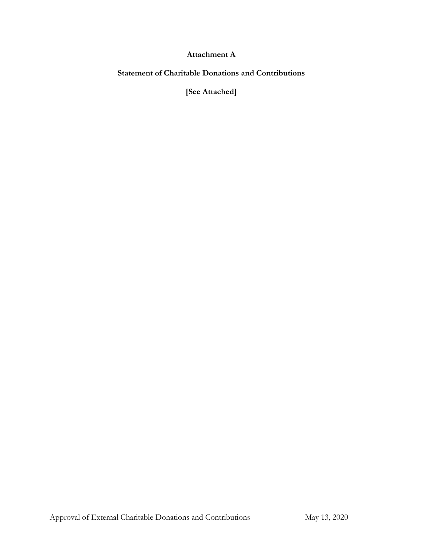# **Attachment A**

**Statement of Charitable Donations and Contributions**

**[See Attached]**